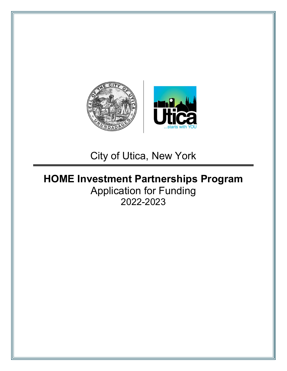

City of Utica, New York

# **HOME Investment Partnerships Program** Application for Funding 2022-2023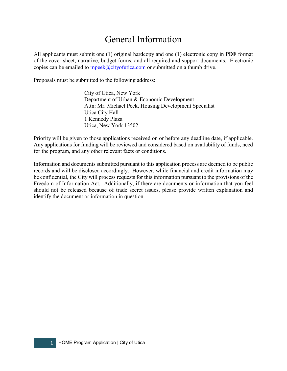## General Information

All applicants must submit one (1) original hardcopy and one (1) electronic copy in **PDF** format of the cover sheet, narrative, budget forms, and all required and support documents. Electronic copies can be emailed to  $mpeak$  ( $Q$ cityofutica.com or submitted on a thumb drive.

Proposals must be submitted to the following address:

City of Utica, New York Department of Urban & Economic Development Attn: Mr. Michael Peek, Housing Development Specialist Utica City Hall 1 Kennedy Plaza Utica, New York 13502

Priority will be given to those applications received on or before any deadline date, if applicable. Any applications for funding will be reviewed and considered based on availability of funds, need for the program, and any other relevant facts or conditions.

Information and documents submitted pursuant to this application process are deemed to be public records and will be disclosed accordingly. However, while financial and credit information may be confidential, the City will process requests for this information pursuant to the provisions of the Freedom of Information Act. Additionally, if there are documents or information that you feel should not be released because of trade secret issues, please provide written explanation and identify the document or information in question.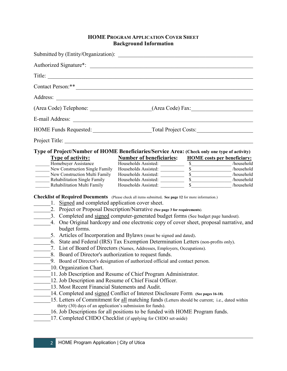## **HOME PROGRAM APPLICATION COVER SHEET Background Information**

| Submitted by (Entity/Organization):                                                                                                                                                                                                                                                                                                             |                                                                                                                                                                                                                                              |  |                          |  |  |
|-------------------------------------------------------------------------------------------------------------------------------------------------------------------------------------------------------------------------------------------------------------------------------------------------------------------------------------------------|----------------------------------------------------------------------------------------------------------------------------------------------------------------------------------------------------------------------------------------------|--|--------------------------|--|--|
|                                                                                                                                                                                                                                                                                                                                                 |                                                                                                                                                                                                                                              |  |                          |  |  |
| Title:                                                                                                                                                                                                                                                                                                                                          |                                                                                                                                                                                                                                              |  |                          |  |  |
| Contact Person: **                                                                                                                                                                                                                                                                                                                              |                                                                                                                                                                                                                                              |  |                          |  |  |
| Address:                                                                                                                                                                                                                                                                                                                                        | <u> 1989 - Johann John Stein, markin fan it fjort fan it fjort fan it fjort fan it fjort fan it fjort fan it fjort f</u>                                                                                                                     |  |                          |  |  |
|                                                                                                                                                                                                                                                                                                                                                 | (Area Code) Telephone: ______________________(Area Code) Fax: ___________________                                                                                                                                                            |  |                          |  |  |
|                                                                                                                                                                                                                                                                                                                                                 |                                                                                                                                                                                                                                              |  |                          |  |  |
|                                                                                                                                                                                                                                                                                                                                                 |                                                                                                                                                                                                                                              |  |                          |  |  |
| Project Title:                                                                                                                                                                                                                                                                                                                                  |                                                                                                                                                                                                                                              |  |                          |  |  |
| Type of Project/Number of HOME Beneficiaries/Service Area: (Check only one type of activity)<br>Type of activity:                                                                                                                                                                                                                               | <b>Number of beneficiaries:</b> HOME costs per beneficiary:                                                                                                                                                                                  |  |                          |  |  |
| Homebuyer Assistance                                                                                                                                                                                                                                                                                                                            |                                                                                                                                                                                                                                              |  |                          |  |  |
| New Construction Single Family                                                                                                                                                                                                                                                                                                                  |                                                                                                                                                                                                                                              |  |                          |  |  |
| New Construction Multi Family                                                                                                                                                                                                                                                                                                                   | Households Assisted:<br>Households Assisted:<br>Households Assisted:<br>Households Assisted:<br>Households Assisted:<br>Households Assisted:<br>Thouseholds Assisted:<br>Thousehold a Secretary of the Secretary of the Secretary of the Sec |  |                          |  |  |
| Rehabilitation Single Family                                                                                                                                                                                                                                                                                                                    |                                                                                                                                                                                                                                              |  |                          |  |  |
| Rehabilitation Multi Family                                                                                                                                                                                                                                                                                                                     | Households Assisted:                                                                                                                                                                                                                         |  | $\frac{1}{2}$ /household |  |  |
| Checklist of Required Documents (Please check all items submitted. See page 12 for more information.)<br>1. Signed and completed application cover sheet.<br>2. Project or Proposal Description/Narrative (See page 3 for requirements).<br>3. Completed and signed computer-generated budget forms (See budget page handout).<br>budget forms. | 4. One Original hardcopy and one electronic copy of cover sheet, proposal narrative, and                                                                                                                                                     |  |                          |  |  |
|                                                                                                                                                                                                                                                                                                                                                 | 5. Articles of Incorporation and Bylaws (must be signed and dated).                                                                                                                                                                          |  |                          |  |  |
|                                                                                                                                                                                                                                                                                                                                                 | 6. State and Federal (IRS) Tax Exemption Determination Letters (non-profits only).                                                                                                                                                           |  |                          |  |  |
|                                                                                                                                                                                                                                                                                                                                                 | 7. List of Board of Directors (Names, Addresses, Employers, Occupations).                                                                                                                                                                    |  |                          |  |  |
| 8. Board of Director's authorization to request funds.                                                                                                                                                                                                                                                                                          |                                                                                                                                                                                                                                              |  |                          |  |  |
|                                                                                                                                                                                                                                                                                                                                                 | 9. Board of Director's designation of authorized official and contact person.                                                                                                                                                                |  |                          |  |  |
| 10. Organization Chart.                                                                                                                                                                                                                                                                                                                         |                                                                                                                                                                                                                                              |  |                          |  |  |
|                                                                                                                                                                                                                                                                                                                                                 | 11. Job Description and Resume of Chief Program Administrator.                                                                                                                                                                               |  |                          |  |  |
|                                                                                                                                                                                                                                                                                                                                                 | 12. Job Description and Resume of Chief Fiscal Officer.                                                                                                                                                                                      |  |                          |  |  |
| 13. Most Recent Financial Statements and Audit.                                                                                                                                                                                                                                                                                                 |                                                                                                                                                                                                                                              |  |                          |  |  |
|                                                                                                                                                                                                                                                                                                                                                 | 14. Completed and signed Conflict of Interest Disclosure Form. (See pages 16-18).                                                                                                                                                            |  |                          |  |  |
|                                                                                                                                                                                                                                                                                                                                                 | 15. Letters of Commitment for all matching funds (Letters should be current; i.e., dated within                                                                                                                                              |  |                          |  |  |
| thirty (30) days of an application's submission for funds).                                                                                                                                                                                                                                                                                     |                                                                                                                                                                                                                                              |  |                          |  |  |
|                                                                                                                                                                                                                                                                                                                                                 | 16. Job Descriptions for all positions to be funded with HOME Program funds.                                                                                                                                                                 |  |                          |  |  |
|                                                                                                                                                                                                                                                                                                                                                 | 17. Completed CHDO Checklist (if applying for CHDO set-aside)                                                                                                                                                                                |  |                          |  |  |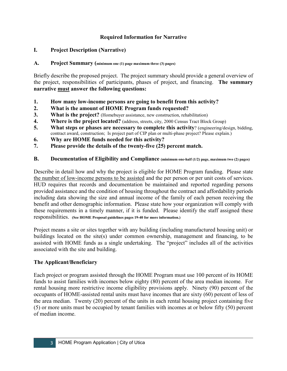## **Required Information for Narrative**

## **I. Project Description (Narrative)**

#### **A. Project Summary (minimum one (1) page maximum three (3) pages)**

Briefly describe the proposed project. The project summary should provide a general overview of the project, responsibilities of participants, phases of project, and financing. **The summary narrative must answer the following questions:**

- **1. How many low-income persons are going to benefit from this activity?**
- **2. What is the amount of HOME Program funds requested?**
- **3. What is the project?** (Homebuyer assistance, new construction, rehabilitation)
- **4. Where is the project located?** (address, streets, city, 2000 Census Tract Block Group)
- **5. What steps or phases are necessary to complete this activity**? (engineering/design, bidding, contract award, construction; Is project part of CIP plan or multi-phase project? Please explain.)
- **6. Why are HOME funds needed for this activity?**
- **7. Please provide the details of the twenty-five (25) percent match.**

#### **B. Documentation of Eligibility and Compliance (minimum one-half (1/2) page, maximum two (2) pages)**

Describe in detail how and why the project is eligible for HOME Program funding. Please state the number of low-income persons to be assisted and the per person or per unit costs of services. HUD requires that records and documentation be maintained and reported regarding persons provided assistance and the condition of housing throughout the contract and affordability periods including data showing the size and annual income of the family of each person receiving the benefit and other demographic information. Please state how your organization will comply with these requirements in a timely manner, if it is funded. Please identify the staff assigned these responsibilities. **(See HOME Proposal guidelines pages 19-40 for more information.)**

Project means a site or sites together with any building (including manufactured housing unit) or buildings located on the site(s) under common ownership, management and financing, to be assisted with HOME funds as a single undertaking. The "project" includes all of the activities associated with the site and building.

## **The Applicant/Beneficiary**

Each project or program assisted through the HOME Program must use 100 percent of its HOME funds to assist families with incomes below eighty (80) percent of the area median income. For rental housing more restrictive income eligibility provisions apply. Ninety (90) percent of the occupants of HOME-assisted rental units must have incomes that are sixty (60) percent of less of the area median. Twenty (20) percent of the units in each rental housing project containing five (5) or more units must be occupied by tenant families with incomes at or below fifty (50) percent of median income.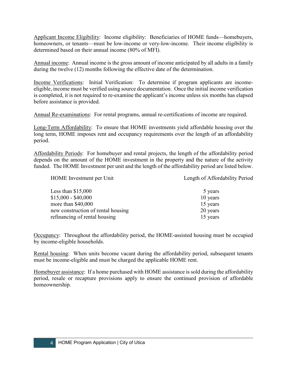Applicant Income Eligibility: Income eligibility: Beneficiaries of HOME funds—homebuyers, homeowners, or tenants—must be low-income or very-low-income. Their income eligibility is determined based on their annual income (80% of MFI).

Annual income: Annual income is the gross amount of income anticipated by all adults in a family during the twelve (12) months following the effective date of the determination.

Income Verifications: Initial Verification: To determine if program applicants are incomeeligible, income must be verified using source documentation. Once the initial income verification is completed, it is not required to re-examine the applicant's income unless six months has elapsed before assistance is provided.

Annual Re-examinations: For rental programs, annual re-certifications of income are required.

Long-Term Affordability: To ensure that HOME investments yield affordable housing over the long term, HOME imposes rent and occupancy requirements over the length of an affordability period.

Affordability Periods: For homebuyer and rental projects, the length of the affordability period depends on the amount of the HOME investment in the property and the nature of the activity funded. The HOME Investment per unit and the length of the affordability period are listed below.

HOME Investment per Unit Length of Affordability Period Less than  $$15,000$  5 years 5  $$15,000 - $40,000$  10 years more than \$40,000 15 years new construction of rental housing 20 years refinancing of rental housing 15 years

Occupancy: Throughout the affordability period, the HOME-assisted housing must be occupied by income-eligible households.

Rental housing: When units become vacant during the affordability period, subsequent tenants must be income-eligible and must be charged the applicable HOME rent.

Homebuyer assistance: If a home purchased with HOME assistance is sold during the affordability period, resale or recapture provisions apply to ensure the continued provision of affordable homeownership.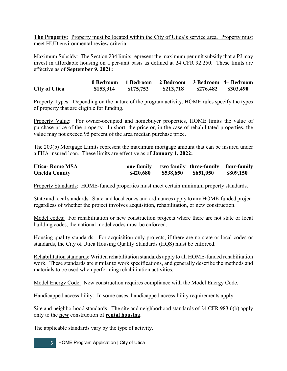**The Property:** Property must be located within the City of Utica's service area. Property must meet HUD environmental review criteria.

Maximum Subsidy: The Section 234 limits represent the maximum per unit subsidy that a PJ may invest in affordable housing on a per-unit basis as defined at 24 CFR 92.250. These limits are effective as of **September 9, 2021:**

**0 Bedroom 1 Bedroom 2 Bedroom 3 Bedroom 4+ Bedroom City of Utica \$153,314 \$175,752 \$213,718 \$276,482 \$303,490**

Property Types: Depending on the nature of the program activity, HOME rules specify the types of property that are eligible for funding.

Property Value: For owner-occupied and homebuyer properties, HOME limits the value of purchase price of the property. In short, the price or, in the case of rehabilitated properties, the value may not exceed 95 percent of the area median purchase price.

The 203(b) Mortgage Limits represent the maximum mortgage amount that can be insured under a FHA insured loan. These limits are effective as of **January 1, 2022:**

| <b>Utica-Rome MSA</b> | one family |           | two family three-family four-family |           |
|-----------------------|------------|-----------|-------------------------------------|-----------|
| <b>Oneida County</b>  | \$420,680  | \$538,650 | \$651,050                           | \$809,150 |

Property Standards: HOME-funded properties must meet certain minimum property standards.

State and local standards: State and local codes and ordinances apply to any HOME-funded project regardless of whether the project involves acquisition, rehabilitation, or new construction.

Model codes: For rehabilitation or new construction projects where there are not state or local building codes, the national model codes must be enforced.

Housing quality standards: For acquisition only projects, if there are no state or local codes or standards, the City of Utica Housing Quality Standards (HQS) must be enforced.

Rehabilitation standards: Written rehabilitation standards apply to all HOME-funded rehabilitation work. These standards are similar to work specifications, and generally describe the methods and materials to be used when performing rehabilitation activities.

Model Energy Code: New construction requires compliance with the Model Energy Code.

Handicapped accessibility: In some cases, handicapped accessibility requirements apply.

Site and neighborhood standards: The site and neighborhood standards of 24 CFR 983.6(b) apply only to the **new** construction of **rental housing**.

The applicable standards vary by the type of activity.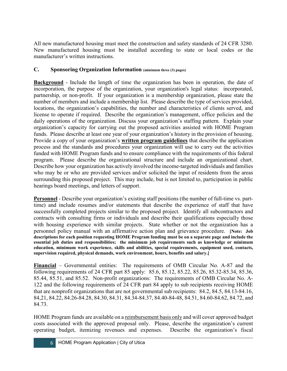All new manufactured housing must meet the construction and safety standards of 24 CFR 3280. New manufactured housing must be installed according to state or local codes or the manufacturer's written instructions.

## **C. Sponsoring Organization Information (minimum three (3) pages)**

**Background** - Include the length of time the organization has been in operation, the date of incorporation, the purpose of the organization, your organization's legal status: incorporated, partnership, or non-profit. If your organization is a membership organization, please state the number of members and include a membership list. Please describe the type of services provided, locations, the organization's capabilities, the number and characteristics of clients served, and license to operate if required. Describe the organization's management, office policies and the daily operations of the organization. Discuss your organization's staffing pattern. Explain your organization's capacity for carrying out the proposed activities assisted with HOME Program funds. Please describe at least one year of your organization's history in the provision of housing. Provide a copy of your organization's **written program guidelines** that describe the application process and the standards and procedures your organization will use to carry out the activities funded with HOME Program funds and to ensure compliance with the requirements of this federal program. Please describe the organizational structure and include an organizational chart. Describe how your organization has actively involved the income-targeted individuals and families who may be or who are provided services and/or solicited the input of residents from the areas surrounding this proposed project. This may include, but is not limited to, participation in public hearings board meetings, and letters of support.

**Personnel** - Describe your organization's existing staff positions (the number of full-time vs. parttime) and include resumes and/or statements that describe the experience of staff that have successfully completed projects similar to the proposed project. Identify all subcontractors and contracts with consulting firms or individuals and describe their qualifications especially those with housing experience with similar projects. State whether or not the organization has a personnel policy manual with an affirmative action plan and grievance procedure. **[Note: Job descriptions for each position requesting HOME Program funding must be on a separate page and include the essential job duties and responsibilities; the minimum job requirements such as knowledge or minimum education, minimum work experience, skills and abilities, special requirements, equipment used, contacts, supervision required, physical demands, work environment, hours, benefits and salary.]**

**Financial** – Governmental entities: The requirements of OMB Circular No. A-87 and the following requirements of 24 CFR part 85 apply: 85.6, 85.12, 85.22, 85.26, 85.32-85.34, 85.36, 85.44, 85.51, and 85.52. Non-profit organizations: The requirements of OMB Circular No. A-122 and the following requirements of 24 CFR part 84 apply to sub recipients receiving HOME that are nonprofit organizations that are not governmental sub recipients: 84.2, 84.5, 84.13-84.16, 84,21, 84.22, 84.26-84.28, 84.30, 84.31, 84.34-84.37, 84.40-84-48, 84.51, 84.60-84.62, 84.72, and 84.73.

HOME Program funds are available on a reimbursement basis only and will cover approved budget costs associated with the approved proposal only. Please, describe the organization's current operating budget, itemizing revenues and expenses. Describe the organization's fiscal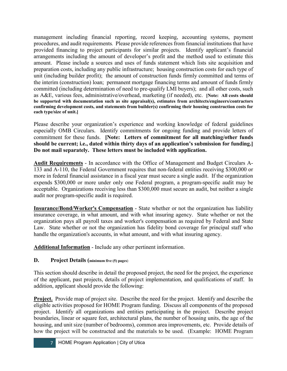management including financial reporting, record keeping, accounting systems, payment procedures, and audit requirements*.* Please provide references from financial institutions that have provided financing to project participants for similar projects. Identify applicant's financial arrangements including the amount of developer's profit and the method used to estimate this amount. Please include a sources and uses of funds statement which lists site acquisition and preparation costs, including any public infrastructure; housing construction costs for each type of unit (including builder profit); the amount of construction funds firmly committed and terms of the interim (construction) loan; permanent mortgage financing terms and amount of funds firmly committed (including determination of need to pre-qualify LMI buyers); and all other costs, such as A&E, various fees, administrative/overhead, marketing (if needed), etc. **[Note: All costs should be supported with documentation such as site appraisal(s), estimates from architects/engineers/contractors confirming development costs, and statements from builder(s) confirming their housing construction costs for each type/size of unit.]**

Please describe your organization's experience and working knowledge of federal guidelines especially OMB Circulars. Identify commitments for ongoing funding and provide letters of commitment for these funds. **[Note: Letters of commitment for all matching/other funds should be current; i.e., dated within thirty days of an application's submission for funding.] Do not mail separately. These letters must be included with application.**

**Audit Requirements** - In accordance with the Office of Management and Budget Circulars A-133 and A-110, the Federal Government requires that non-federal entities receiving \$300,000 or more in federal financial assistance in a fiscal year must secure a single audit. If the organization expends \$300,000 or more under only one Federal program, a program-specific audit may be acceptable. Organizations receiving less than \$300,000 must secure an audit, but neither a single audit nor program-specific audit is required.

**Insurance/Bond/Worker's Compensation** - State whether or not the organization has liability insurance coverage, in what amount, and with what insuring agency. State whether or not the organization pays all payroll taxes and worker's compensation as required by Federal and State Law. State whether or not the organization has fidelity bond coverage for principal staff who handle the organization's accounts, in what amount, and with what insuring agency.

**Additional Information** - Include any other pertinent information.

## **D. Project Details (minimum five (5) pages**)

This section should describe in detail the proposed project, the need for the project, the experience of the applicant, past projects, details of project implementation, and qualifications of staff. In addition, applicant should provide the following:

**Project.** Provide map of project site. Describe the need for the project. Identify and describe the eligible activities proposed for HOME Program funding. Discuss all components of the proposed project. Identify all organizations and entities participating in the project. Describe project boundaries, linear or square feet, architectural plans, the number of housing units, the age of the housing, and unit size (number of bedrooms), common area improvements, etc. Provide details of how the project will be constructed and the materials to be used. (Example: HOME Program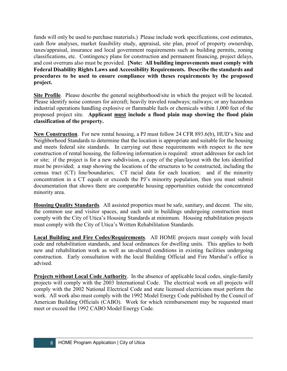funds will only be used to purchase materials.) Please include work specifications, cost estimates, cash flow analyses, market feasibility study, appraisal, site plan, proof of property ownership, taxes/appraisal, insurance and local government requirements such as building permits, zoning classifications, etc. Contingency plans for construction and permanent financing, project delays, and cost overruns also must be provided. **[Note: All building improvements must comply with Federal Disability Rights Laws and Accessibility Requirements. Describe the standards and procedures to be used to ensure compliance with theses requirements by the proposed project.**

**Site Profile**. Please describe the general neighborhood/site in which the project will be located. Please identify noise contours for aircraft; heavily traveled roadways; railways; or any hazardous industrial operations handling explosive or flammable fuels or chemicals within 1,000 feet of the proposed project site. **Applicant must include a flood plain map showing the flood plain classification of the property.**

**New Construction**. For new rental housing, a PJ must follow 24 CFR 893.6(b), HUD's Site and Neighborhood Standards to determine that the location is appropriate and suitable for the housing and meets federal site standards. In carrying out these requirements with respect to the new construction of rental housing, the following information is required: street addresses for each lot or site; if the project is for a new subdivision, a copy of the plan/layout with the lots identified must be provided; a map showing the locations of the structures to be constructed, including the census tract (CT) line/boundaries; CT racial data for each location; and if the minority concentration in a CT equals or exceeds the PJ's minority population, then you must submit documentation that shows there are comparable housing opportunities outside the concentrated minority area.

**Housing Quality Standards**. All assisted properties must be safe, sanitary, and decent. The site, the common use and visitor spaces, and each unit in buildings undergoing construction must comply with the City of Utica's Housing Standards at minimum. Housing rehabilitation projects must comply with the City of Utica's Written Rehabilitation Standards.

**Local Building and Fire Codes/Requirements**. All HOME projects must comply with local code and rehabilitation standards, and local ordinances for dwelling units. This applies to both new and rehabilitation work as well as un-altered conditions in existing facilities undergoing construction. Early consultation with the local Building Official and Fire Marshal's office is advised.

**Projects without Local Code Authority**. In the absence of applicable local codes, single-family projects will comply with the 2003 International Code. The electrical work on all projects will comply with the 2002 National Electrical Code and state licensed electricians must perform the work. All work also must comply with the 1992 Model Energy Code published by the Council of American Building Officials (CABO). Work for which reimbursement may be requested must meet or exceed the 1992 CABO Model Energy Code.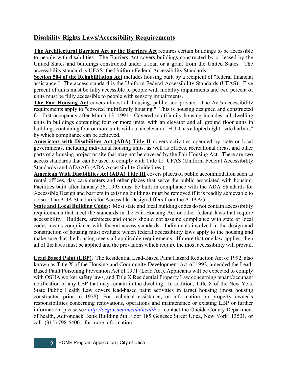## **Disability Rights Laws/Accessibility Requirements**

**The Architectural Barriers Act or the Barriers Act** requires certain buildings to be accessible to people with disabilities. The Barriers Act covers buildings constructed by or leased by the United States and buildings constructed under a loan or a grant from the United States. The accessibility standard is UFAS, the Uniform Federal Accessibility Standards.

**Section 504 of the Rehabilitation Act** includes housing built by a recipient of "federal financial assistance." The access standard is the Uniform Federal Accessibility Standards (UFAS). Five percent of units must be fully accessible to people with mobility impairments and two percent of units must be fully accessible to people with sensory impairments.

**The Fair Housing Act** covers almost all housing, public and private. The Act's accessibility requirements apply to "covered multifamily housing." This is housing designed and constructed for first occupancy after March 13, 1991. Covered multifamily housing includes: all dwelling units in buildings containing four or more units, with an elevator and all ground floor units in buildings containing four or more units without an elevator. HUD has adopted eight "safe harbors" by which compliance can be achieved.

**Americans with Disabilities Act (ADA) Title II** covers activities operated by state or local governments, including individual housing units, as well as offices, recreational areas, and other parts of a housing project or site that may not be covered by the Fair Housing Act. There are two access standards that can be used to comply with Title II: UFAS (Uniform Federal Accessibility Standards) and ADAAG (ADA Accessibility Guidelines.)

**American With Disabilities Act (ADA) Title III** covers places of public accommodation such as rental offices, day care centers and other places that serve the public associated with housing. Facilities built after January 26, 1993 must be built in compliance with the ADA Standards for Accessible Design and barriers in existing buildings must be removed if it is readily achievable to do so. The ADA Standards for Accessible Design differs from the ADAAG.

**State and Local Building Codes:** Most state and local building codes do not contain accessibility requirements that meet the standards in the Fair Housing Act or other federal laws that require accessibility. Builders, architects and others should not assume compliance with state or local codes means compliance with federal access standards. Individuals involved in the design and construction of housing must evaluate which federal accessibility laws apply to the housing and make sure that the housing meets all applicable requirements. If more that one law applies, then all of the laws must be applied and the provisions which require the most accessibility will prevail.

**Lead Based Paint (LBP)**. The Residential Lead-Based Paint Hazard Reduction Act of 1992, also known as Title X of the Housing and Community Development Act of 1992, amended the Lead-Based Paint Poisoning Prevention Act of 1971 (Lead Act). Applicants will be expected to comply with OSHA worker safety laws, and Title X Residential Property Law concerning tenant/occupant notification of any LBP that may remain in the dwelling. In addition, Title X of the New York State Public Health Law covers lead-based paint activities in target housing (most housing constructed prior to 1978). For technical assistance, or information on property owner's responsibilities concerning renovations, operations and maintenance or existing LBP or further information, please see *<http://ocgov.net/oneida/health>* or contact the Oneida County Department of health, Adirondack Bank Building 5th Floor 185 Genesee Street Utica, New York 13501, or call (315) 798-6400) for more information.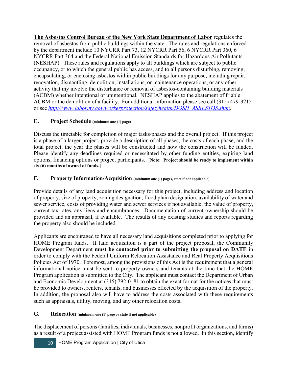**The Asbestos Control Bureau of the New York State Department of Labor** regulates the removal of asbestos from public buildings within the state. The rules and regulations enforced by the department include 10 NYCRR Part 73, 12 NYCRR Part 56, 6 NYCRR Part 360, 6 NYCRR Part 364 and the Federal National Emission Standards for Hazardous Air Pollutants (NESHAP). These rules and regulations apply to all buildings which are subject to public occupancy, or to which the general public has access, and to all persons disturbing, removing, encapsulating, or enclosing asbestos within public buildings for any purpose, including repair, renovation, dismantling, demolition, installations, or maintenance operations, or any other activity that my involve the disturbance or removal of asbestos-containing building materials (ACBM) whether intentional or unintentional. NESHAP applies to the abatement of friable ACBM or the demolition of a facility. For additional information please see call (315) 479-3215 or see *[http://www.labor.ny.gov/workerprotection/safetyhealth/DOSH\\_ASBESTOS.shtm.](http://www.labor.ny.gov/workerprotection/safetyhealth/DOSH_ASBESTOS.shtm)* 

## **E. Project Schedule (minimum one (1) page**)

Discuss the timetable for completion of major tasks/phases and the overall project. If this project is a phase of a larger project, provide a description of all phases, the costs of each phase, and the total project, the year the phases will be constructed and how the construction will be funded. Please identify any deadlines required or necessitated by other funding entities, expiring land options, financing options or project participants. **[Note: Project should be ready to implement within six (6) months of award of funds.]**

## **F. Property Information/Acquisition (minimum one (1) pages, state if not applicable**)

Provide details of any land acquisition necessary for this project, including address and location of property, size of property, zoning designation, flood plain designation, availability of water and sewer service, costs of providing water and sewer services if not available, the value of property, current tax rates, any liens and encumbrances. Documentation of current ownership should be provided and an appraisal, if available. The results of any existing studies and reports regarding the property also should be included.

Applicants are encouraged to have all necessary land acquisitions completed prior to applying for HOME Program funds. If land acquisition is a part of the project proposal, the Community Development Department **must be contacted prior to submitting the proposal on DATE** in order to comply with the Federal Uniform Relocation Assistance and Real Property Acquisitions Policies Act of 1970. Foremost, among the provisions of this Act is the requirement that a general informational notice must be sent to property owners and tenants at the time that the HOME Program application is submitted to the City. The applicant must contact the Department of Urban and Economic Development at (315) 792-0181 to obtain the exact format for the notices that must be provided to owners, renters, tenants, and businesses effected by the acquisition of the property. In addition, the proposal also will have to address the costs associated with these requirements such as appraisals, utility, moving, and any other relocation costs.

## **G. Relocation (minimum one (1) page or state if not applicable**)

The displacement of persons (families, individuals, businesses, nonprofit organizations, and farms) as a result of a project assisted with HOME Program funds is not allowed. In this section, identify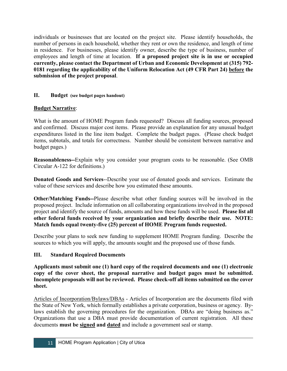individuals or businesses that are located on the project site. Please identify households, the number of persons in each household, whether they rent or own the residence, and length of time in residence. For businesses, please identify owner, describe the type of business, number of employees and length of time at location. **If a proposed project site is in use or occupied currently, please contact the Department of Urban and Economic Development at (315) 792- 0181 regarding the applicability of the Uniform Relocation Act (49 CFR Part 24) before the submission of the project proposal**.

## **II. Budget (see budget pages handout)**

## **Budget Narrative**:

What is the amount of HOME Program funds requested? Discuss all funding sources, proposed and confirmed. Discuss major cost items. Please provide an explanation for any unusual budget expenditures listed in the line item budget. Complete the budget pages. (Please check budget items, subtotals, and totals for correctness. Number should be consistent between narrative and budget pages.)

**Reasonableness--**Explain why you consider your program costs to be reasonable. (See OMB Circular A-122 for definitions.)

**Donated Goods and Services**--Describe your use of donated goods and services. Estimate the value of these services and describe how you estimated these amounts.

**Other/Matching Funds--**Please describe what other funding sources will be involved in the proposed project. Include information on all collaborating organizations involved in the proposed project and identify the source of funds, amounts and how these funds will be used. **Please list all other federal funds received by your organization and briefly describe their use. NOTE: Match funds equal twenty-five (25) percent of HOME Program funds requested.**

Describe your plans to seek new funding to supplement HOME Program funding. Describe the sources to which you will apply, the amounts sought and the proposed use of those funds.

#### **III. Standard Required Documents**

**Applicants must submit one (1) hard copy of the required documents and one (1) electronic copy of the cover sheet, the proposal narrative and budget pages must be submitted. Incomplete proposals will not be reviewed. Please check-off all items submitted on the cover sheet.**

Articles of Incorporation/Bylaws/DBAs - Articles of Incorporation are the documents filed with the State of New York, which formally establishes a private corporation, business or agency. Bylaws establish the governing procedures for the organization. DBAs are "doing business as." Organizations that use a DBA must provide documentation of current registration. All these documents **must be signed and dated** and include a government seal or stamp.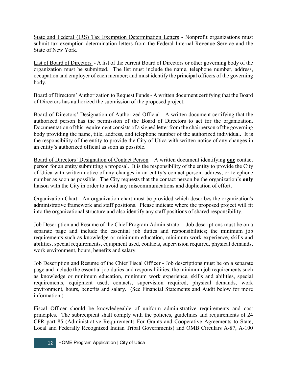State and Federal (IRS) Tax Exemption Determination Letters - Nonprofit organizations must submit tax-exemption determination letters from the Federal Internal Revenue Service and the State of New York.

List of Board of Directors' - A list of the current Board of Directors or other governing body of the organization must be submitted. The list must include the name, telephone number, address, occupation and employer of each member; and must identify the principal officers of the governing body.

Board of Directors' Authorization to Request Funds - A written document certifying that the Board of Directors has authorized the submission of the proposed project.

Board of Directors' Designation of Authorized Official - A written document certifying that the authorized person has the permission of the Board of Directors to act for the organization. Documentation of this requirement consists of a signed letter from the chairperson of the governing body providing the name, title, address, and telephone number of the authorized individual. It is the responsibility of the entity to provide the City of Utica with written notice of any changes in an entity's authorized official as soon as possible.

Board of Directors' Designation of Contact Person – A written document identifying **one** contact person for an entity submitting a proposal. It is the responsibility of the entity to provide the City of Utica with written notice of any changes in an entity's contact person, address, or telephone number as soon as possible. The City requests that the contact person be the organization's **only** liaison with the City in order to avoid any miscommunications and duplication of effort.

Organization Chart - An organization chart must be provided which describes the organization's administrative framework and staff positions. Please indicate where the proposed project will fit into the organizational structure and also identify any staff positions of shared responsibility.

Job Description and Resume of the Chief Program Administrator - Job descriptions must be on a separate page and include the essential job duties and responsibilities; the minimum job requirements such as knowledge or minimum education, minimum work experience, skills and abilities, special requirements, equipment used, contacts, supervision required, physical demands, work environment, hours, benefits and salary.

Job Description and Resume of the Chief Fiscal Officer - Job descriptions must be on a separate page and include the essential job duties and responsibilities; the minimum job requirements such as knowledge or minimum education, minimum work experience, skills and abilities, special requirements, equipment used, contacts, supervision required, physical demands, work environment, hours, benefits and salary. (See Financial Statements and Audit below for more information.)

Fiscal Officer should be knowledgeable of uniform administrative requirements and cost principles. The subrecipient shall comply with the policies, guidelines and requirements of 24 CFR part 85 (Administrative Requirements For Grants and Cooperative Agreements to State, Local and Federally Recognized Indian Tribal Governments) and OMB Circulars A-87, A-100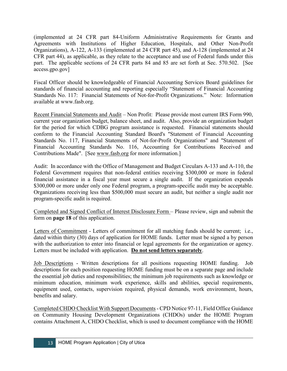(implemented at 24 CFR part 84-Uniform Administrative Requirements for Grants and Agreements with Institutions of Higher Education, Hospitals, and Other Non-Profit Organizations), A-122, A-133 (implemented at 24 CFR part 45), and A-128 (implemented at 24 CFR part 44), as applicable, as they relate to the acceptance and use of Federal funds under this part. The applicable sections of 24 CFR parts 84 and 85 are set forth at Sec. 570.502. [See access.gpo.gov]

Fiscal Officer should be knowledgeable of Financial Accounting Services Board guidelines for standards of financial accounting and reporting especially "Statement of Financial Accounting Standards No. 117: Financial Statements of Not-for-Profit Organizations." Note: Information available at www.fasb.org.

Recent Financial Statements and Audit – Non Profit: Please provide most current IRS Form 990, current year organization budget, balance sheet, and audit. Also, provide an organization budget for the period for which CDBG program assistance is requested. Financial statements should conform to the Financial Accounting Standard Board's "Statement of Financial Accounting Standards No. 117, Financial Statements of Not-for-Profit Organizations" and "Statement of Financial Accounting Standards No. 116, Accounting for Contributions Received and Contributions Made". [See [www.fasb.org](http://www.fasb.org/) for more information.]

Audit: In accordance with the Office of Management and Budget Circulars A-133 and A-110, the Federal Government requires that non-federal entities receiving \$300,000 or more in federal financial assistance in a fiscal year must secure a single audit. If the organization expends \$300,000 or more under only one Federal program, a program-specific audit may be acceptable. Organizations receiving less than \$500,000 must secure an audit, but neither a single audit nor program-specific audit is required.

Completed and Signed Conflict of Interest Disclosure Form – Please review, sign and submit the form on **page 18** of this application.

Letters of Commitment - Letters of commitment for all matching funds should be current; i.e., dated within thirty (30) days of application for HOME funds. Letter must be signed a by person with the authorization to enter into financial or legal agreements for the organization or agency. Letters must be included with application. **Do not send letters separately**.

Job Descriptions - Written descriptions for all positions requesting HOME funding. Job descriptions for each position requesting HOME funding must be on a separate page and include the essential job duties and responsibilities; the minimum job requirements such as knowledge or minimum education, minimum work experience, skills and abilities, special requirements, equipment used, contacts, supervision required, physical demands, work environment, hours, benefits and salary.

Completed CHDO Checklist With Support Documents- CPD Notice 97-11, Field Office Guidance on Community Housing Development Organizations (CHDOs) under the HOME Program contains Attachment A, CHDO Checklist, which is used to document compliance with the HOME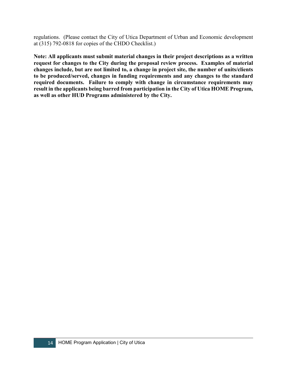regulations. (Please contact the City of Utica Department of Urban and Economic development at (315) 792-0818 for copies of the CHDO Checklist.)

**Note: All applicants must submit material changes in their project descriptions as a written request for changes to the City during the proposal review process. Examples of material changes include, but are not limited to, a change in project site, the number of units/clients to be produced/served, changes in funding requirements and any changes to the standard required documents. Failure to comply with change in circumstance requirements may result in the applicants being barred from participation in the City of Utica HOME Program, as well as other HUD Programs administered by the City.**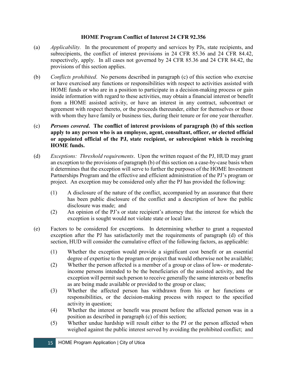## **HOME Program Conflict of Interest 24 CFR 92.356**

- (a) *Applicability.* In the procurement of property and services by PJs, state recipients, and subrecipients, the conflict of interest provisions in 24 CFR 85.36 and 24 CFR 84.42, respectively, apply. In all cases not governed by 24 CFR 85.36 and 24 CFR 84.42, the provisions of this section applies.
- (b) *Conflicts prohibited*. No persons described in paragraph (c) of this section who exercise or have exercised any functions or responsibilities with respect to activities assisted with HOME funds or who are in a position to participate in a decision-making process or gain inside information with regard to these activities, may obtain a financial interest or benefit from a HOME assisted activity, or have an interest in any contract, subcontract or agreement with respect thereto, or the proceeds thereunder, either for themselves or those with whom they have family or business ties, during their tenure or for one year thereafter.
- (c) *Persons covered***. The conflict of interest provisions of paragraph (b) of this section apply to any person who is an employee, agent, consultant, officer, or elected official or appointed official of the PJ, state recipient, or subrecipient which is receiving HOME funds.**
- (d) *Exceptions: Threshold requirements*. Upon the written request of the PJ, HUD may grant an exception to the provisions of paragraph (b) of this section on a case-by-case basis when it determines that the exception will serve to further the purposes of the HOME Investment Partnerships Program and the effective and efficient administration of the PJ's program or project. An exception may be considered only after the PJ has provided the following:
	- (1) A disclosure of the nature of the conflict, accompanied by an assurance that there has been public disclosure of the conflict and a description of how the public disclosure was made; and
	- (2) An opinion of the PJ's or state recipient's attorney that the interest for which the exception is sought would not violate state or local law.
- (e) Factors to be considered for exceptions. In determining whether to grant a requested exception after the PJ has satisfactorily met the requirements of paragraph (d) of this section, HUD will consider the cumulative effect of the following factors, as applicable:
	- (1) Whether the exception would provide a significant cost benefit or an essential degree of expertise to the program or project that would otherwise not be available;
	- (2) Whether the person affected is a member of a group or class of low- or moderateincome persons intended to be the beneficiaries of the assisted activity, and the exception will permit such person to receive generally the same interests or benefits as are being made available or provided to the group or class;
	- (3) Whether the affected person has withdrawn from his or her functions or responsibilities, or the decision-making process with respect to the specified activity in question;
	- (4) Whether the interest or benefit was present before the affected person was in a position as described in paragraph (c) of this section;
	- (5) Whether undue hardship will result either to the PJ or the person affected when weighed against the public interest served by avoiding the prohibited conflict; and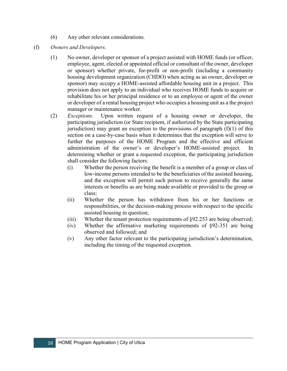- (6) Any other relevant considerations.
- (f) *Owners and Developers.*
	- (1) No owner, developer or sponsor of a project assisted with HOME funds (or officer, employee, agent, elected or appointed official or consultant of the owner, developer or sponsor) whether private, for-profit or non-profit (including a community housing development organization (CHDO) when acting as an owner, developer or sponsor) may occupy a HOME-assisted affordable housing unit in a project. This provision does not apply to an individual who receives HOME funds to acquire or rehabilitate his or her principal residence or to an employee or agent of the owner or developer of a rental housing project who occupies a housing unit as a the project manager or maintenance worker.
	- (2) *Exceptions.* Upon written request of a housing owner or developer, the participating jurisdiction (or State recipient, if authorized by the State participating jurisdiction) may grant an exception to the provisions of paragraph  $(f)(1)$  of this section on a case-by-case basis when it determines that the exception will serve to further the purposes of the HOME Program and the effective and efficient administration of the owner's or developer's HOME-assisted project. In determining whether or grant a requested exception, the participating jurisdiction shall consider the following factors:
		- (i) Whether the person receiving the benefit is a member of a group or class of low-income persons intended to be the beneficiaries of the assisted housing, and the exception will permit such person to receive generally the same interests or benefits as are being made available or provided to the group or class;
		- (ii) Whether the person has withdrawn from his or her functions or responsibilities, or the decision-making process with respect to the specific assisted housing in question;
		- (iii) Whether the tenant protection requirements of §92.253 are being observed;
		- (iv) Whether the affirmative marketing requirements of §92-351 are being observed and followed; and
		- (v) Any other factor relevant to the participating jurisdiction's determination, including the timing of the requested exception.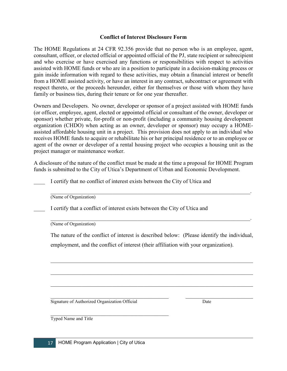#### **Conflict of Interest Disclosure Form**

The HOME Regulations at 24 CFR 92.356 provide that no person who is an employee, agent, consultant, officer, or elected official or appointed official of the PJ, state recipient or subrecipient and who exercise or have exercised any functions or responsibilities with respect to activities assisted with HOME funds or who are in a position to participate in a decision-making process or gain inside information with regard to these activities, may obtain a financial interest or benefit from a HOME assisted activity, or have an interest in any contract, subcontract or agreement with respect thereto, or the proceeds hereunder, either for themselves or those with whom they have family or business ties, during their tenure or for one year thereafter.

Owners and Developers. No owner, developer or sponsor of a project assisted with HOME funds (or officer, employee, agent, elected or appointed official or consultant of the owner, developer or sponsor) whether private, for-profit or non-profit (including a community housing development organization (CHDO) when acting as an owner, developer or sponsor) may occupy a HOMEassisted affordable housing unit in a project. This provision does not apply to an individual who receives HOME funds to acquire or rehabilitate his or her principal residence or to an employee or agent of the owner or developer of a rental housing project who occupies a housing unit as the project manager or maintenance worker.

A disclosure of the nature of the conflict must be made at the time a proposal for HOME Program funds is submitted to the City of Utica's Department of Urban and Economic Development.

I certify that no conflict of interest exists between the City of Utica and

\_\_\_\_\_\_\_\_\_\_\_\_\_\_\_\_\_\_\_\_\_\_\_\_\_\_\_\_\_\_\_\_\_\_\_\_\_\_\_\_\_\_\_\_\_\_\_\_\_\_\_\_\_\_\_\_\_\_\_\_\_\_\_\_\_\_\_\_\_\_\_. (Name of Organization)

I certify that a conflict of interest exists between the City of Utica and

(Name of Organization)

The nature of the conflict of interest is described below: (Please identify the individual, employment, and the conflict of interest (their affiliation with your organization).

 $\mathcal{L}_\text{max} = \mathcal{L}_\text{max} = \mathcal{L}_\text{max} = \mathcal{L}_\text{max} = \mathcal{L}_\text{max} = \mathcal{L}_\text{max} = \mathcal{L}_\text{max} = \mathcal{L}_\text{max} = \mathcal{L}_\text{max} = \mathcal{L}_\text{max} = \mathcal{L}_\text{max} = \mathcal{L}_\text{max} = \mathcal{L}_\text{max} = \mathcal{L}_\text{max} = \mathcal{L}_\text{max} = \mathcal{L}_\text{max} = \mathcal{L}_\text{max} = \mathcal{L}_\text{max} = \mathcal{$ 

 $\mathcal{L}_\text{G}$  , and the contribution of the contribution of the contribution of the contribution of the contribution of the contribution of the contribution of the contribution of the contribution of the contribution of t

 $\mathcal{L}_\mathcal{L} = \mathcal{L}_\mathcal{L} = \mathcal{L}_\mathcal{L} = \mathcal{L}_\mathcal{L} = \mathcal{L}_\mathcal{L} = \mathcal{L}_\mathcal{L} = \mathcal{L}_\mathcal{L} = \mathcal{L}_\mathcal{L} = \mathcal{L}_\mathcal{L} = \mathcal{L}_\mathcal{L} = \mathcal{L}_\mathcal{L} = \mathcal{L}_\mathcal{L} = \mathcal{L}_\mathcal{L} = \mathcal{L}_\mathcal{L} = \mathcal{L}_\mathcal{L} = \mathcal{L}_\mathcal{L} = \mathcal{L}_\mathcal{L}$ 

Signature of Authorized Organization Official Date

Typed Name and Title